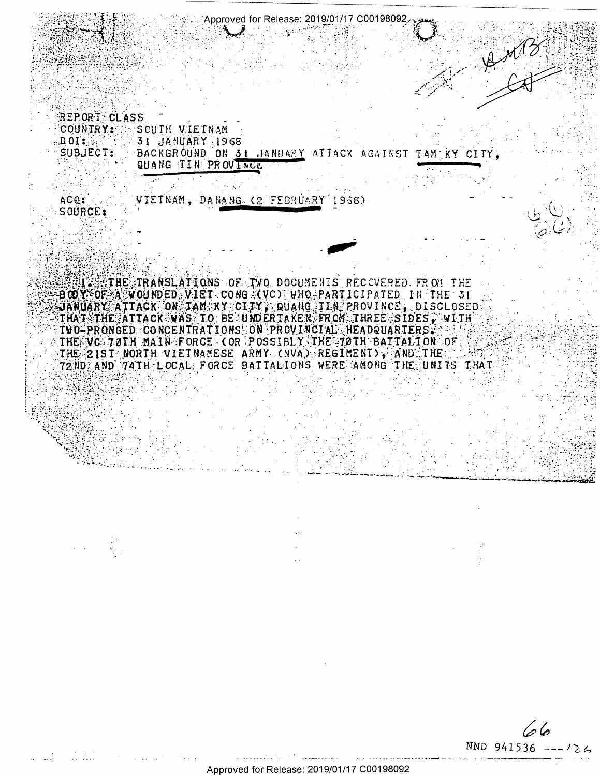**REPORT CLASS** COUNTRY: SCUIH VIEINAM DOI: 31 JANUARY 1968 SUBJECT: BACKGROUND ON 31 JANUARY ATTACK AGAINST TAMERY CITY. QUANG TIN PROVINCE

Approved for Release: 2019/01/17 C00198092

ACQ: VIETNAM, DANANG (2 FEBRUARY 1958) SOURCE:

**WIRE IRANSLATIONS OF TWO DOCUMENTS RECOVERED. FROM THE** BOOY OF A WOUNDED VIET CONG (VC) WHO PARTICIPATED IN THE 31 SJANUARY ATTACK ON JAM KY CITY, QUAHG TIN PROVINCE, DISCLOSED THAT THE ATTACK WAS TO BE UNDERTAKEN FROM THREE SIDES, WITH TWO-PRONGED CONCENTRATIONS ON PROVINCIAL HEADQUARTERS. THE VC 70TH MAIN FORCE COR POSSIBLY THE 70TH BATTALION OF THE 21ST NORTH VIETNAMESE ARMY (NVA) REGIMENT), AND THE 72ND AND 74TH LOCAL FORCE BATTALIONS WERE AMONG THE UNITS THAT

دماهها NND 941536 ---

 $40/3$ 

Approved for Release: 2019/01/17 C00198092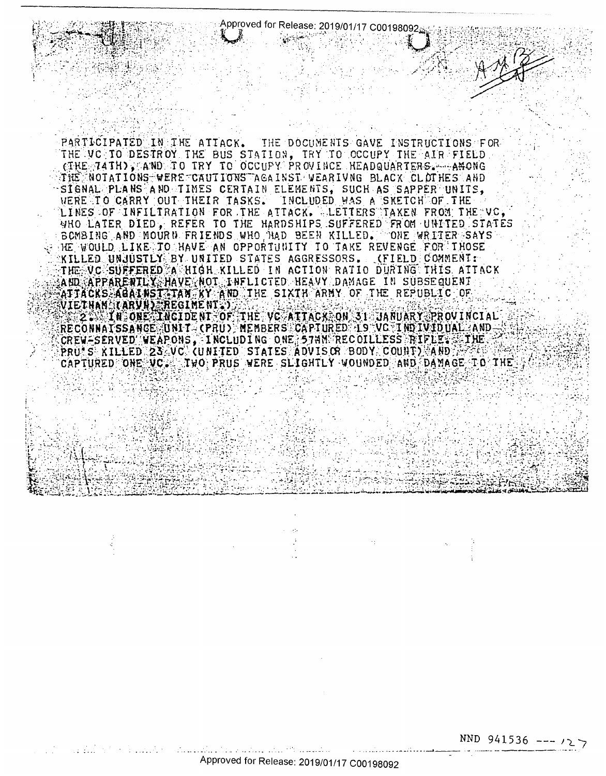Approved for Release: 2019/01/17 C00198092

PARTICIPATED IN THE ATTACK. THE DOCUMENTS GAVE INSTRUCTIONS FOR THE VC TO DESTROY THE BUS STATION, TRY TO OCCUPY THE AIR FIELD. (THE 74TH), AND TO TRY TO OCCUPY PROVINCE HEADQUARTERS. ARCNG THE NOTATIONS WERE CAUTIONS AGAINST VEARIVNG BLACK CLOTHES AND SIGNAL PLANS AND TIMES CERTAIN ELEMENTS, SUCH AS SAPPER UNITS, WERE TO CARRY OUT THEIR TASKS. INCLUDED WAS A SKETCH OF THE LINES OF INFILIRATION FOR THE ATTACK. LETTERS TAKEN FROM THE VC, WHO LATER DIED, REFER TO THE HARDSHIPS SUFFERED FROM UNITED STATES BOMBING AND MOURN FRIENDS WHO NAD BEEN KILLED. ONE WRITER SAYS HE WOULD LIKE TO HAVE AN OPPORTUNITY TO TAKE REVENGE FOR THOSE KILLED UNJUSTLY BY UNITED STATES AGGRESSORS. (FIELD COMMENT: THE VC SUFFERED A HIGH KILLED IN ACTION RATIO DURING THIS ATTACK AND APPARENTLY HAVE NOT INFLICTED HEAVY DAMAGE IN SUBSEQUENT ATTACKS AGAINST TAN KY AND THE SIXTH ARMY OF THE REPUBLIC OF RECONNATSSANGE UNIT (PRU) MEMBERS CAPTURED IS VO INDIVIDUAL AND CREW-SERVED WEAPONS, INCLUDING ONE 57NM RECOILLESS RIFLE. PRU S RILLED 23 VC (UNITED STATES ADVIS OR BODY COUNT) AND AP CAPTURED ONE VC. TWO PRUS WERE SLIGHTLY WOUNDED AND DAMAGE TO THE